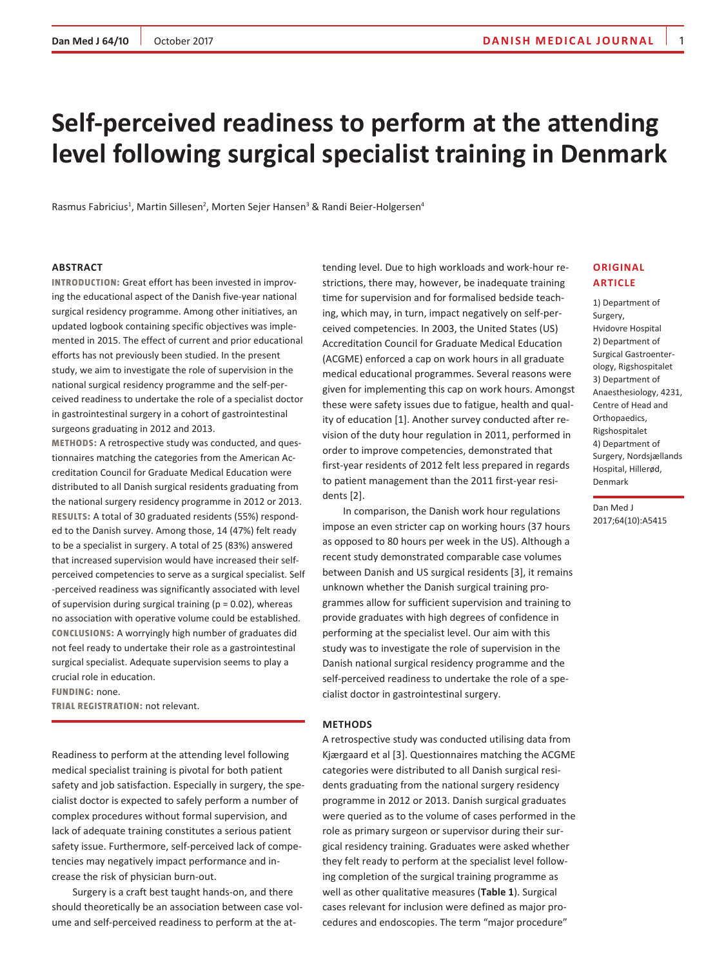# **Self-perceived readiness to perform at the attending level following surgical specialist training in Denmark**

Rasmus Fabricius<sup>1</sup>, Martin Sillesen<sup>2</sup>, Morten Sejer Hansen<sup>3</sup> & Randi Beier-Holgersen<sup>4</sup>

### **Abstract**

**Introduction:** Great effort has been invested in improving the educational aspect of the Danish five-year national surgical residency programme. Among other initiatives, an updated logbook containing specific objectives was implemented in 2015. The effect of current and prior educational efforts has not previously been studied. In the present study, we aim to investigate the role of supervision in the national surgical residency programme and the self-perceived readiness to undertake the role of a specialist doctor in gastrointestinal surgery in a cohort of gastrointestinal surgeons graduating in 2012 and 2013.

**Methods:** A retrospective study was conducted, and questionnaires matching the categories from the American Accreditation Council for Graduate Medical Education were distributed to all Danish surgical residents graduating from the national surgery residency programme in 2012 or 2013. **Results:** A total of 30 graduated residents (55%) responded to the Danish survey. Among those, 14 (47%) felt ready to be a specialist in surgery. A total of 25 (83%) answered that increased supervision would have increased their selfperceived competencies to serve as a surgical specialist. Self -perceived readiness was significantly associated with level of supervision during surgical training ( $p = 0.02$ ), whereas no association with operative volume could be established. **Conclusions:** A worryingly high number of graduates did not feel ready to undertake their role as a gastrointestinal surgical specialist. Adequate supervision seems to play a crucial role in education.

**Funding:** none.

**Trial registration:** not relevant.

Readiness to perform at the attending level following medical specialist training is pivotal for both patient safety and job satisfaction. Especially in surgery, the specialist doctor is expected to safely perform a number of complex procedures without formal supervision, and lack of adequate training constitutes a serious patient safety issue. Furthermore, self-perceived lack of competencies may negatively impact performance and increase the risk of physician burn-out.

Surgery is a craft best taught hands-on, and there should theoretically be an association between case volume and self-perceived readiness to perform at the attending level. Due to high workloads and work-hour restrictions, there may, however, be inadequate training time for supervision and for formalised bedside teaching, which may, in turn, impact negatively on self-perceived competencies. In 2003, the United States (US) Accreditation Council for Graduate Medical Education (ACGME) enforced a cap on work hours in all graduate medical educational programmes. Several reasons were given for implementing this cap on work hours. Amongst these were safety issues due to fatigue, health and quality of education [1]. Another survey conducted after revision of the duty hour regulation in 2011, performed in order to improve competencies, demonstrated that first-year residents of 2012 felt less prepared in regards to patient management than the 2011 first-year residents [2].

In comparison, the Danish work hour regulations impose an even stricter cap on working hours (37 hours as opposed to 80 hours per week in the US). Although a recent study demonstrated comparable case volumes between Danish and US surgical residents [3], it remains unknown whether the Danish surgical training programmes allow for sufficient supervision and training to provide graduates with high degrees of confidence in performing at the specialist level. Our aim with this study was to investigate the role of supervision in the Danish national surgical residency programme and the self-perceived readiness to undertake the role of a specialist doctor in gastrointestinal surgery.

#### **Methods**

A retrospective study was conducted utilising data from Kjærgaard et al [3]. Questionnaires matching the ACGME categories were distributed to all Danish surgical residents graduating from the national surgery residency programme in 2012 or 2013. Danish surgical graduates were queried as to the volume of cases performed in the role as primary surgeon or supervisor during their surgical residency training. Graduates were asked whether they felt ready to perform at the specialist level following completion of the surgical training programme as well as other qualitative measures (**Table 1**). Surgical cases relevant for inclusion were defined as major procedures and endoscopies. The term "major procedure"

# **Original article**

1) Department of Surgery, Hvidovre Hospital 2) Department of Surgical Gastroenterology, Rigshospitalet 3) Department of Anaesthesiology, 4231, Centre of Head and Orthopaedics, Rigshospitalet 4) Department of Surgery, Nordsjællands Hospital, Hillerød, Denmark

Dan Med J 2017;64(10):A5415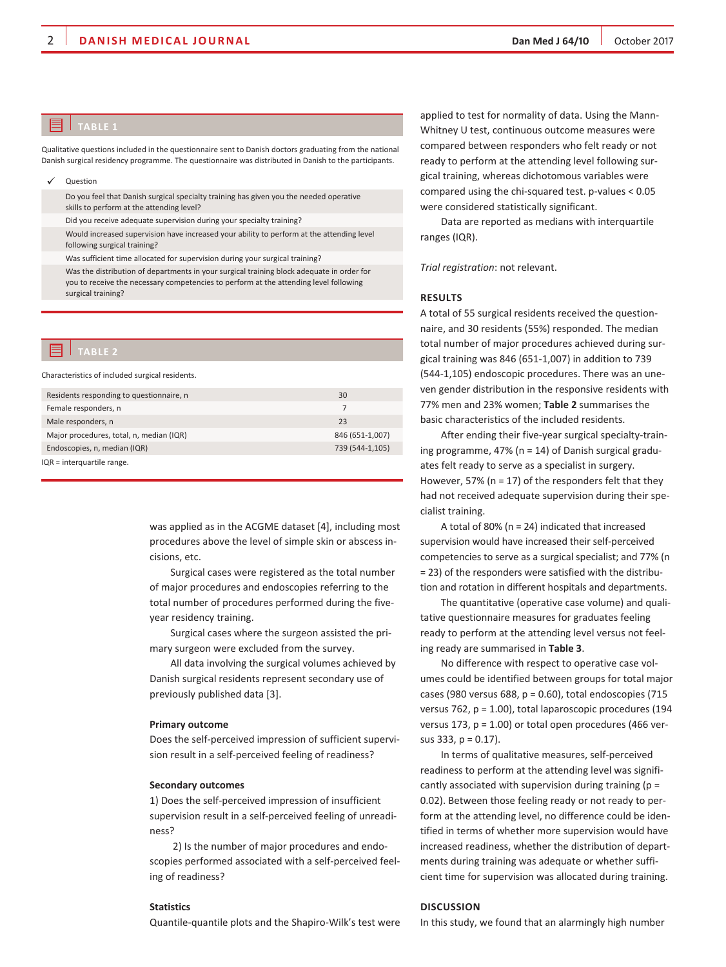# **TablE 1**

Qualitative questions included in the questionnaire sent to Danish doctors graduating from the national Danish surgical residency programme. The questionnaire was distributed in Danish to the participants.

**Question** 

Do you feel that Danish surgical specialty training has given you the needed operative skills to perform at the attending level?

Did you receive adequate supervision during your specialty training?

Would increased supervision have increased your ability to perform at the attending level following surgical training?

Was sufficient time allocated for supervision during your surgical training?

Was the distribution of departments in your surgical training block adequate in order for you to receive the necessary competencies to perform at the attending level following surgical training?

### **TablE 2**

Characteristics of included surgical residents.

| Residents responding to questionnaire, n | 30              |
|------------------------------------------|-----------------|
| Female responders, n                     |                 |
| Male responders, n                       | 23              |
| Major procedures, total, n, median (IQR) | 846 (651-1,007) |
| Endoscopies, n, median (IQR)             | 739 (544-1,105) |
| IQR = interquartile range.               |                 |

was applied as in the ACGME dataset [4], including most procedures above the level of simple skin or abscess incisions, etc.

Surgical cases were registered as the total number of major procedures and endoscopies referring to the total number of procedures performed during the fiveyear residency training.

Surgical cases where the surgeon assisted the primary surgeon were excluded from the survey.

All data involving the surgical volumes achieved by Danish surgical residents represent secondary use of previously published data [3].

# **Primary outcome**

Does the self-perceived impression of sufficient supervision result in a self-perceived feeling of readiness?

#### **Secondary outcomes**

1) Does the self-perceived impression of insufficient supervision result in a self-perceived feeling of unreadiness?

 2) Is the number of major procedures and endoscopies performed associated with a self-perceived feeling of readiness?

# **Statistics**

Quantile-quantile plots and the Shapiro-Wilk's test were

applied to test for normality of data. Using the Mann-Whitney U test, continuous outcome measures were compared between responders who felt ready or not ready to perform at the attending level following surgical training, whereas dichotomous variables were compared using the chi-squared test. p-values < 0.05 were considered statistically significant.

Data are reported as medians with interquartile ranges (IQR).

*Trial registration*: not relevant.

# **Results**

A total of 55 surgical residents received the questionnaire, and 30 residents (55%) responded. The median total number of major procedures achieved during surgical training was 846 (651-1,007) in addition to 739 (544-1,105) endoscopic procedures. There was an uneven gender distribution in the responsive residents with 77% men and 23% women; **Table 2** summarises the basic characteristics of the included residents.

After ending their five-year surgical specialty-training programme, 47% ( $n = 14$ ) of Danish surgical graduates felt ready to serve as a specialist in surgery. However, 57% ( $n = 17$ ) of the responders felt that they had not received adequate supervision during their specialist training.

A total of 80% (n = 24) indicated that increased supervision would have increased their self-perceived competencies to serve as a surgical specialist; and 77% (n = 23) of the responders were satisfied with the distribution and rotation in different hospitals and departments.

The quantitative (operative case volume) and qualitative questionnaire measures for graduates feeling ready to perform at the attending level versus not feeling ready are summarised in **Table 3**.

No difference with respect to operative case volumes could be identified between groups for total major cases (980 versus 688,  $p = 0.60$ ), total endoscopies (715 versus 762, p = 1.00), total laparoscopic procedures (194 versus 173,  $p = 1.00$ ) or total open procedures (466 versus 333, p = 0.17).

In terms of qualitative measures, self-perceived readiness to perform at the attending level was significantly associated with supervision during training ( $p =$ 0.02). Between those feeling ready or not ready to perform at the attending level, no difference could be identified in terms of whether more supervision would have increased readiness, whether the distribution of departments during training was adequate or whether sufficient time for supervision was allocated during training.

# **Discussion**

In this study, we found that an alarmingly high number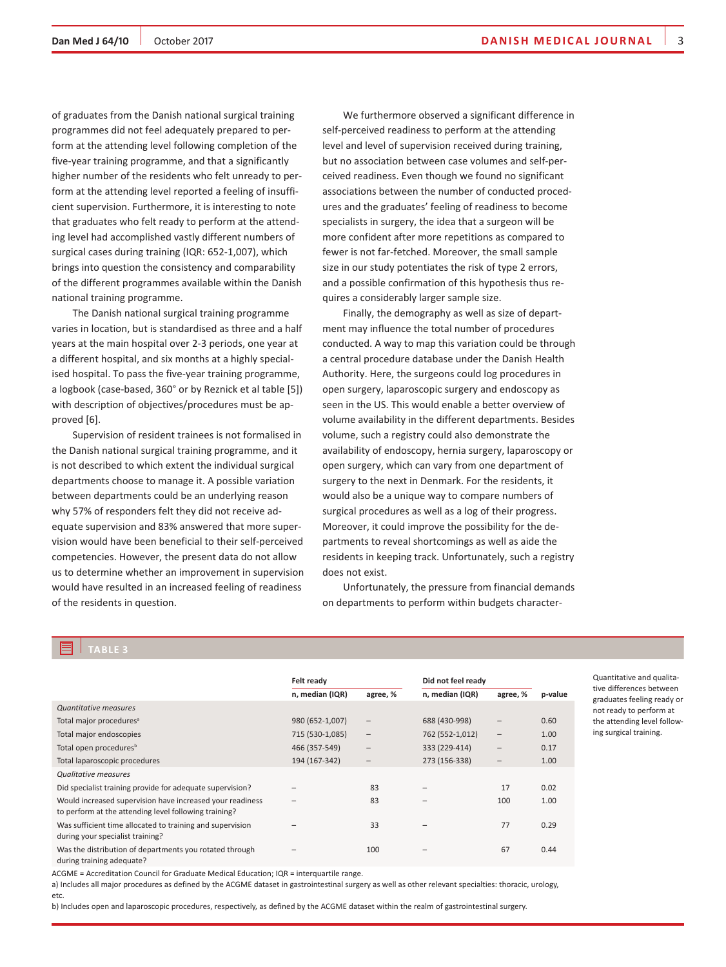of graduates from the Danish national surgical training programmes did not feel adequately prepared to perform at the attending level following completion of the five-year training programme, and that a significantly higher number of the residents who felt unready to perform at the attending level reported a feeling of insufficient supervision. Furthermore, it is interesting to note that graduates who felt ready to perform at the attending level had accomplished vastly different numbers of surgical cases during training (IQR: 652-1,007), which brings into question the consistency and comparability of the different programmes available within the Danish national training programme.

The Danish national surgical training programme varies in location, but is standardised as three and a half years at the main hospital over 2-3 periods, one year at a different hospital, and six months at a highly specialised hospital. To pass the five-year training programme, a logbook (case-based, 360° or by Reznick et al table [5]) with description of objectives/procedures must be approved [6].

Supervision of resident trainees is not formalised in the Danish national surgical training programme, and it is not described to which extent the individual surgical departments choose to manage it. A possible variation between departments could be an underlying reason why 57% of responders felt they did not receive adequate supervision and 83% answered that more supervision would have been beneficial to their self-perceived competencies. However, the present data do not allow us to determine whether an improvement in supervision would have resulted in an increased feeling of readiness of the residents in question.

We furthermore observed a significant difference in self-perceived readiness to perform at the attending level and level of supervision received during training, but no association between case volumes and self-perceived readiness. Even though we found no significant associations between the number of conducted procedures and the graduates' feeling of readiness to become specialists in surgery, the idea that a surgeon will be more confident after more repetitions as compared to fewer is not far-fetched. Moreover, the small sample size in our study potentiates the risk of type 2 errors, and a possible confirmation of this hypothesis thus requires a considerably larger sample size.

Finally, the demography as well as size of department may influence the total number of procedures conducted. A way to map this variation could be through a central procedure database under the Danish Health Authority. Here, the surgeons could log procedures in open surgery, laparoscopic surgery and endoscopy as seen in the US. This would enable a better overview of volume availability in the different departments. Besides volume, such a registry could also demonstrate the availability of endoscopy, hernia surgery, laparoscopy or open surgery, which can vary from one department of surgery to the next in Denmark. For the residents, it would also be a unique way to compare numbers of surgical procedures as well as a log of their progress. Moreover, it could improve the possibility for the departments to reveal shortcomings as well as aide the residents in keeping track. Unfortunately, such a registry does not exist.

Unfortunately, the pressure from financial demands on departments to perform within budgets character-

# **TablE 3**

|                                                                                                                    | Felt ready      |                   | Did not feel ready |                   |         |  |
|--------------------------------------------------------------------------------------------------------------------|-----------------|-------------------|--------------------|-------------------|---------|--|
|                                                                                                                    | n, median (IQR) | agree, %          | n, median (IQR)    | agree, %          | p-value |  |
| <b>Quantitative measures</b>                                                                                       |                 |                   |                    |                   |         |  |
| Total major procedures <sup>a</sup>                                                                                | 980 (652-1,007) | $\qquad \qquad$   | 688 (430-998)      |                   | 0.60    |  |
| Total major endoscopies                                                                                            | 715 (530-1,085) | $\qquad \qquad -$ | 762 (552-1,012)    | $\qquad \qquad -$ | 1.00    |  |
| Total open procedures <sup>b</sup>                                                                                 | 466 (357-549)   | $\qquad \qquad -$ | 333 (229-414)      | -                 | 0.17    |  |
| Total laparoscopic procedures                                                                                      | 194 (167-342)   |                   | 273 (156-338)      | -                 | 1.00    |  |
| <b>Qualitative measures</b>                                                                                        |                 |                   |                    |                   |         |  |
| Did specialist training provide for adequate supervision?                                                          |                 | 83                |                    | 17                | 0.02    |  |
| Would increased supervision have increased your readiness<br>to perform at the attending level following training? |                 | 83                |                    | 100               | 1.00    |  |
| Was sufficient time allocated to training and supervision<br>during your specialist training?                      |                 | 33                |                    | 77                | 0.29    |  |
| Was the distribution of departments you rotated through<br>during training adequate?                               |                 | 100               |                    | 67                | 0.44    |  |

ACGME = Accreditation Council for Graduate Medical Education; IQR = interquartile range.

a) Includes all major procedures as defined by the ACGME dataset in gastrointestinal surgery as well as other relevant specialties: thoracic, urology, etc.

b) Includes open and laparoscopic procedures, respectively, as defined by the ACGME dataset within the realm of gastrointestinal surgery.

Quantitative and qualitative differences between graduates feeling ready or not ready to perform at the attending level following surgical training.